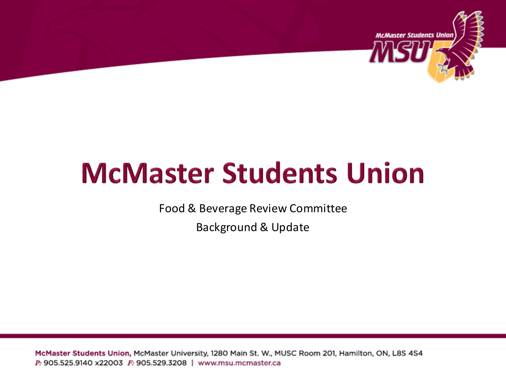

## **McMaster Students Union**

Food & Beverage Review Committee

Background & Update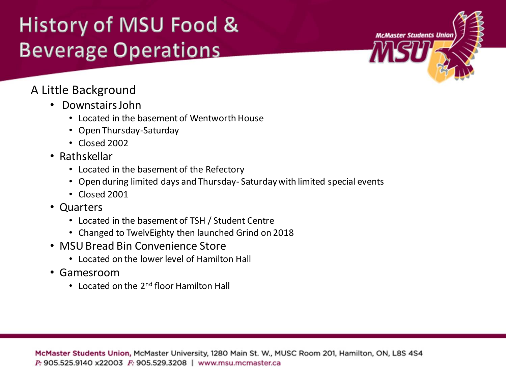## History of MSU Food & **Beverage Operations**

# **McMaster Students Union**

#### A Little Background

- Downstairs John
	- Located in the basement of Wentworth House
	- Open Thursday-Saturday
	- Closed 2002
- Rathskellar
	- Located in the basement of the Refectory
	- Open during limited days and Thursday- Saturday with limited special events
	- Closed 2001
- Quarters
	- Located in the basement of TSH / Student Centre
	- Changed to TwelvEighty then launched Grind on 2018
- MSU Bread Bin Convenience Store
	- Located on the lower level of Hamilton Hall
- Gamesroom
	- Located on the 2<sup>nd</sup> floor Hamilton Hall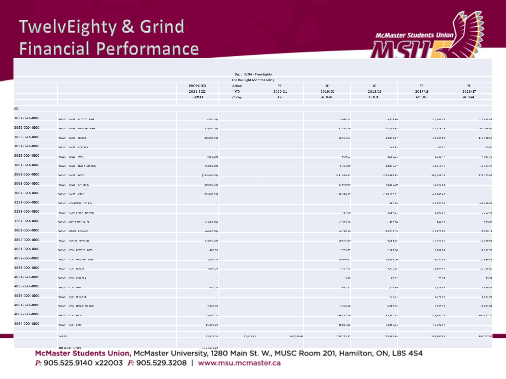#### **TwelvEighty & Grind Financial Performance**



|                |                                |               | Dept. 0204 - TwelvEighty    |            |               |               |               |                |
|----------------|--------------------------------|---------------|-----------------------------|------------|---------------|---------------|---------------|----------------|
|                |                                |               | For the Eight Months Ending |            |               |               |               |                |
|                |                                | PROPOSED      | Actual                      | YE         | YE            | YE            | YE            | YE             |
|                |                                | 2021-2022     | <b>YTD</b>                  | 2020-21    | 2019/20       | 2018/19       | 2017/18       | 2016/17        |
|                |                                | <b>BUDGET</b> | 21-Sep                      | Draft      | <b>ACTUAL</b> | ACTUAL        | ACTUAL        | <b>ACTUAL</b>  |
| All:           |                                |               |                             |            |               |               |               |                |
| 3051-0204-0100 | TWELVE - SALES - BOTTLED BEER  | (800.00)      |                             |            | $-2,634.14$   | $-4,678.39$   | $-11,493.51$  | $-27,828.88$   |
| 3052-0204-0100 |                                |               |                             |            |               |               |               |                |
|                | TWELVE - SALES - DRAUGHT BEER  | (7,000.00)    |                             |            | $-22,858.19$  | $-43,156.38$  | $-41,278.73$  | $-64,088.91$   |
| 3053-0204-0100 | TWELVE - SALES - LIQUOR        | (10,000.00)   |                             |            | $-16,594.57$  | $-20,818.37$  | $-51,744.82$  | $-110, 128.50$ |
| 3054-0204-0100 | TWELVE - SALES - COOLERS       |               |                             |            |               | $-142.13$     | $-85.50$      | $-75.00$       |
| 3055-0204-0100 | TWELVE - SALES - WINE          | (800.00)      |                             |            | $-970.63$     | $-2,590.91$   | $-2,630.47$   | $-4,031.70$    |
| 3061-0204-0100 | TWELVE - SALES - NON ALCOHOLIC | (5,000.00)    |                             |            | $-5,452.90$   | $-10,876.57$  | $-12,010.45$  | $-16,793.79$   |
| 3062-0204-0100 | TWELVE - SALES - FOOD          | (245,000.00)  |                             |            | $-341,826.92$ | $-328,407.45$ | $-360,558.71$ | $-478,775.08$  |
| 3063-0204-0100 | TWELVE - SALES - CATERING      | (10,000.00)   |                             |            | $-93,979.99$  | $-88,055.50$  | $-30,249.61$  |                |
| 3064-0204-0100 | TWELVE - SALES - CAFE          | (35,000.00)   |                             |            | $-86,324.57$  | $-128,120.81$ | $-46,241.40$  |                |
| 3251-0204-0100 | TWELVE - ADMISSION FEE REV.    |               |                             |            |               | $-386.88$     | $-33,790.01$  | $-48,486.67$   |
| 3253-0204-0100 | TWELVE - COAT CHECK REVENUE    |               |                             |            | $-417.60$     | $-3,187.91$   | $-8,602.50$   | $-2,252.41$    |
| 3264-0204-0100 |                                |               |                             |            |               |               |               |                |
|                | TWELVE - GIFT CERT - SALES     | (1,000.00)    |                             |            | $-1,583.18$   | $-1,470.98$   | 244.99        | 559.03         |
| 3801-0204-0100 | TWELVE - OTHER REVENUE         | (4,000.00)    |                             |            | $-14,278.36$  | $-18,518.09$  | $-15,479.82$  | $-7,860.14$    |
| 3802-0204-0100 | TWELVE - RENTAL REVENUES       | (1,000.00)    |                             |            | $-10,675.00$  | $-8,564.25$   | $-17,743.50$  | $-19,098.98$   |
| 4051-0204-0100 | TWELVE - COS - BOTTLED BEER    | 400.00        |                             |            | 1,753.77      | 2,183.00      | 5,762.01      | 12,912.90      |
| 4052-0204-0100 | TWELVE - COS - DRAUGHT BEER    | 3,500.00      |                             |            | 10,946.01     | 19,084.00     | 18,047.83     | 27,889.85      |
| 4053-0204-0100 | TWELVE - COS - LIQUOR          | 4,000.00      |                             |            | 1,467.43      | 4,710.65      | 13,864.07     | 27,725.80      |
| 4054-0204-0100 | TWELVE - COS - COOLERS         |               |                             |            | 3.36          | 63.92         | 73.94         | 33.32          |
| 4055-0204-0100 | TWELVE - COS - WINE            | 640.00        |                             |            | 631.21        | 1,779.29      | 1,225.56      | 1,559.53       |
| 4056-0204-0100 | TWELVE - COS - SPOILAGE        |               |                             |            |               | 178.91        | 1,671.98      | 1,601.94       |
| 4061-0204-0100 | TWELVE - COS - NON-ALCOHOLIC   | 2,000.00      |                             |            | 3,364.60      | 6,207.55      | 6,695.32      | 11,231.82      |
| 4062-0204-0100 |                                |               |                             |            |               |               |               |                |
|                | TWELVE - COS - FOOD            | 105,000.00    |                             |            | 156,328.16    | 158,850.93    | 179,192.76    | 197,342.27     |
| 4064-0204-0100 | TWELVE - COS - CAFE            | 15,000.00     |                             |            | 28,821.82     | 50,355.93     | 16,692.97     |                |
|                | Total All                      | 67,615.00     | 37,617.83                   | 245,099.09 | 188,793.97    | 278,686.34    | 284,662.87    | 197,127.93     |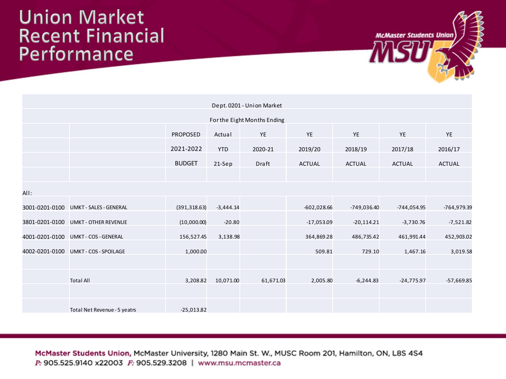#### **Union Market Recent Financial** Performance



| Dept. 0201 - Union Market   |                                       |                 |             |           |               |               |               |               |
|-----------------------------|---------------------------------------|-----------------|-------------|-----------|---------------|---------------|---------------|---------------|
| For the Eight Months Ending |                                       |                 |             |           |               |               |               |               |
|                             |                                       | <b>PROPOSED</b> | Actual      | YE        | YE            | <b>YE</b>     | YE            | YE            |
|                             |                                       | 2021-2022       | <b>YTD</b>  | 2020-21   | 2019/20       | 2018/19       | 2017/18       | 2016/17       |
|                             |                                       | <b>BUDGET</b>   | 21-Sep      | Draft     | <b>ACTUAL</b> | <b>ACTUAL</b> | <b>ACTUAL</b> | <b>ACTUAL</b> |
|                             |                                       |                 |             |           |               |               |               |               |
| All:                        |                                       |                 |             |           |               |               |               |               |
|                             | 3001-0201-0100 UMKT - SALES - GENERAL | (391, 318.63)   | $-3,444.14$ |           | $-602,028.66$ | -749,036.40   | -744,054.95   | -764,979.39   |
|                             | 3801-0201-0100 UMKT - OTHER REVENUE   | (10,000.00)     | $-20.80$    |           | $-17,053.09$  | $-20,114.21$  | $-3,730.76$   | $-7,521.82$   |
|                             | 4001-0201-0100 UMKT-COS-GENERAL       | 156,527.45      | 3,138.98    |           | 364,869.28    | 486,735.42    | 461,991.44    | 452,903.02    |
|                             | 4002-0201-0100 UMKT-COS-SPOILAGE      | 1,000.00        |             |           | 509.81        | 729.10        | 1,467.16      | 3,019.58      |
|                             |                                       |                 |             |           |               |               |               |               |
|                             | <b>Total All</b>                      | 3,208.82        | 10,071.00   | 61,671.03 | 2,005.80      | $-6,244.83$   | $-24,775.97$  | $-57,669.85$  |
|                             |                                       |                 |             |           |               |               |               |               |
|                             | Total Net Revenue - 5 yeatrs          | $-25,013.82$    |             |           |               |               |               |               |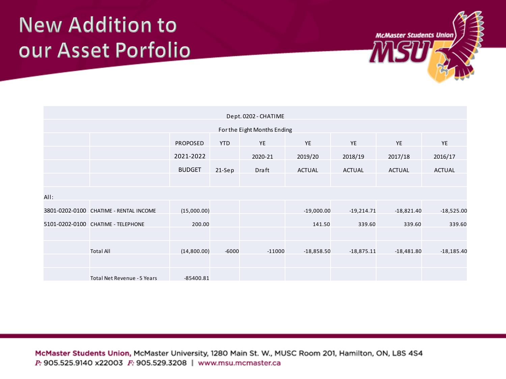#### **New Addition to** our Asset Porfolio



| Dept. 0202 - CHATIME        |                                        |               |            |          |               |               |               |               |
|-----------------------------|----------------------------------------|---------------|------------|----------|---------------|---------------|---------------|---------------|
| For the Eight Months Ending |                                        |               |            |          |               |               |               |               |
|                             |                                        | PROPOSED      | <b>YTD</b> | YE       | YE            | <b>YE</b>     | <b>YE</b>     | <b>YE</b>     |
|                             |                                        | 2021-2022     |            | 2020-21  | 2019/20       | 2018/19       | 2017/18       | 2016/17       |
|                             |                                        | <b>BUDGET</b> | $21-$ Sep  | Draft    | <b>ACTUAL</b> | <b>ACTUAL</b> | <b>ACTUAL</b> | <b>ACTUAL</b> |
|                             |                                        |               |            |          |               |               |               |               |
| All:                        |                                        |               |            |          |               |               |               |               |
|                             | 3801-0202-0100 CHATIME - RENTAL INCOME | (15,000.00)   |            |          | $-19,000.00$  | $-19,214.71$  | $-18,821.40$  | $-18,525.00$  |
|                             | 5101-0202-0100 CHATIME - TELEPHONE     | 200.00        |            |          | 141.50        | 339.60        | 339.60        | 339.60        |
|                             |                                        |               |            |          |               |               |               |               |
|                             | <b>Total All</b>                       | (14,800.00)   | $-6000$    | $-11000$ | $-18,858.50$  | $-18,875.11$  | $-18,481.80$  | $-18,185.40$  |
|                             |                                        |               |            |          |               |               |               |               |
|                             | Total Net Revenue - 5 Years            | -85400.81     |            |          |               |               |               |               |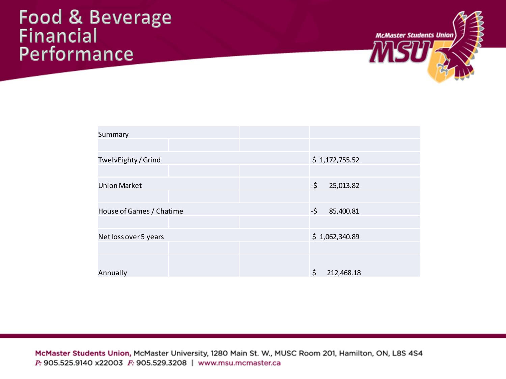#### **Food & Beverage Financial** Performance



| Summary                  |                  |
|--------------------------|------------------|
|                          |                  |
| TwelvEighty / Grind      | \$1,172,755.52   |
|                          |                  |
| <b>Union Market</b>      | -\$<br>25,013.82 |
|                          |                  |
| House of Games / Chatime | -\$<br>85,400.81 |
|                          |                  |
| Net loss over 5 years    | \$1,062,340.89   |
|                          |                  |
|                          |                  |
| Annually                 | \$<br>212,468.18 |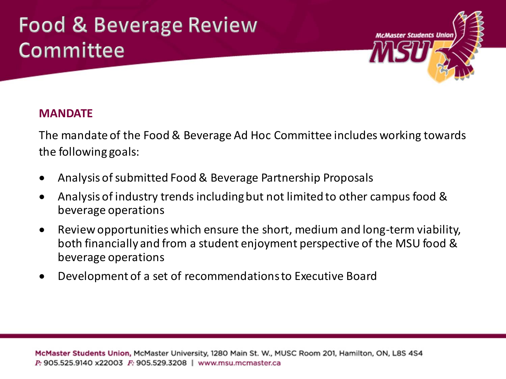### **Food & Beverage Review** Committee



#### **MANDATE**

The mandate of the Food & Beverage Ad Hoc Committee includes working towards the following goals:

- Analysis of submitted Food & Beverage Partnership Proposals
- Analysis of industry trends including but not limited to other campus food & beverage operations
- Review opportunities which ensure the short, medium and long-term viability, both financially and from a student enjoyment perspective of the MSU food & beverage operations
- Development of a set of recommendationsto Executive Board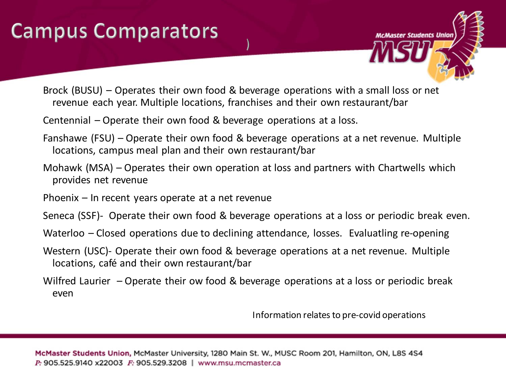## **Campus Comparators**



- Brock (BUSU) Operates their own food & beverage operations with a small loss or net revenue each year. Multiple locations, franchises and their own restaurant/bar
- Centennial Operate their own food & beverage operations at a loss.
- Fanshawe (FSU) Operate their own food & beverage operations at a net revenue. Multiple locations, campus meal plan and their own restaurant/bar
- Mohawk (MSA) Operates their own operation at loss and partners with Chartwells which provides net revenue
- Phoenix In recent years operate at a net revenue
- Seneca (SSF)- Operate their own food & beverage operations at a loss or periodic break even.
- Waterloo Closed operations due to declining attendance, losses. Evaluatling re-opening
- Western (USC)- Operate their own food & beverage operations at a net revenue. Multiple locations, café and their own restaurant/bar
- Wilfred Laurier Operate their ow food & beverage operations at a loss or periodic break even

Information relates to pre-covid operations